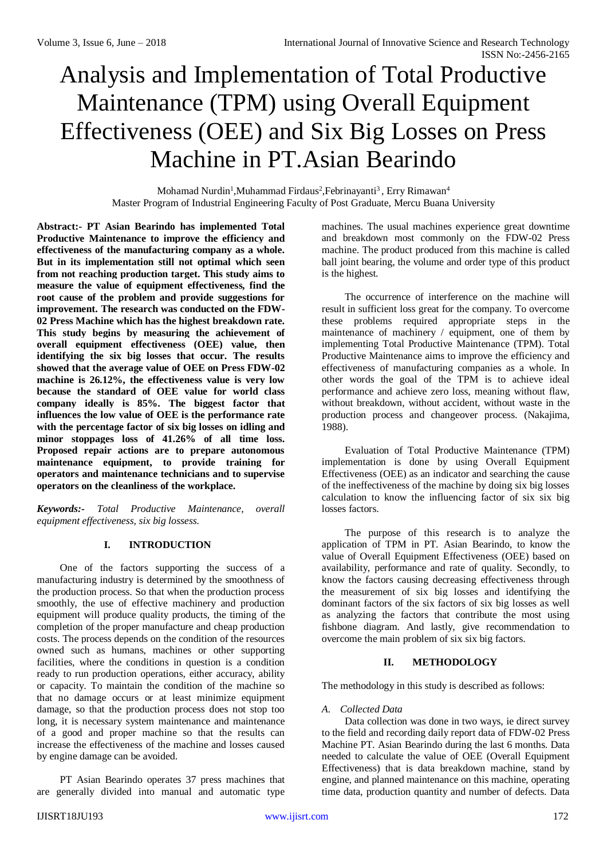# Analysis and Implementation of Total Productive Maintenance (TPM) using Overall Equipment Effectiveness (OEE) and Six Big Losses on Press Machine in PT.Asian Bearindo

Mohamad Nurdin<sup>1</sup>,Muhammad Firdaus<sup>2</sup>,Febrinayanti<sup>3</sup> , Erry Rimawan<sup>4</sup> Master Program of Industrial Engineering Faculty of Post Graduate, Mercu Buana University

**Abstract:- PT Asian Bearindo has implemented Total Productive Maintenance to improve the efficiency and effectiveness of the manufacturing company as a whole. But in its implementation still not optimal which seen from not reaching production target. This study aims to measure the value of equipment effectiveness, find the root cause of the problem and provide suggestions for improvement. The research was conducted on the FDW-02 Press Machine which has the highest breakdown rate. This study begins by measuring the achievement of overall equipment effectiveness (OEE) value, then identifying the six big losses that occur. The results showed that the average value of OEE on Press FDW-02 machine is 26.12%, the effectiveness value is very low because the standard of OEE value for world class company ideally is 85%. The biggest factor that influences the low value of OEE is the performance rate with the percentage factor of six big losses on idling and minor stoppages loss of 41.26% of all time loss. Proposed repair actions are to prepare autonomous maintenance equipment, to provide training for operators and maintenance technicians and to supervise operators on the cleanliness of the workplace.**

*Keywords:- Total Productive Maintenance, overall equipment effectiveness, six big lossess.*

# **I. INTRODUCTION**

One of the factors supporting the success of a manufacturing industry is determined by the smoothness of the production process. So that when the production process smoothly, the use of effective machinery and production equipment will produce quality products, the timing of the completion of the proper manufacture and cheap production costs. The process depends on the condition of the resources owned such as humans, machines or other supporting facilities, where the conditions in question is a condition ready to run production operations, either accuracy, ability or capacity. To maintain the condition of the machine so that no damage occurs or at least minimize equipment damage, so that the production process does not stop too long, it is necessary system maintenance and maintenance of a good and proper machine so that the results can increase the effectiveness of the machine and losses caused by engine damage can be avoided.

PT Asian Bearindo operates 37 press machines that are generally divided into manual and automatic type machines. The usual machines experience great downtime and breakdown most commonly on the FDW-02 Press machine. The product produced from this machine is called ball joint bearing, the volume and order type of this product is the highest.

The occurrence of interference on the machine will result in sufficient loss great for the company. To overcome these problems required appropriate steps in the maintenance of machinery / equipment, one of them by implementing Total Productive Maintenance (TPM). Total Productive Maintenance aims to improve the efficiency and effectiveness of manufacturing companies as a whole. In other words the goal of the TPM is to achieve ideal performance and achieve zero loss, meaning without flaw, without breakdown, without accident, without waste in the production process and changeover process. (Nakajima, 1988).

Evaluation of Total Productive Maintenance (TPM) implementation is done by using Overall Equipment Effectiveness (OEE) as an indicator and searching the cause of the ineffectiveness of the machine by doing six big losses calculation to know the influencing factor of six six big losses factors.

The purpose of this research is to analyze the application of TPM in PT. Asian Bearindo, to know the value of Overall Equipment Effectiveness (OEE) based on availability, performance and rate of quality. Secondly, to know the factors causing decreasing effectiveness through the measurement of six big losses and identifying the dominant factors of the six factors of six big losses as well as analyzing the factors that contribute the most using fishbone diagram. And lastly, give recommendation to overcome the main problem of six six big factors.

# **II. METHODOLOGY**

The methodology in this study is described as follows:

# *A. Collected Data*

Data collection was done in two ways, ie direct survey to the field and recording daily report data of FDW-02 Press Machine PT. Asian Bearindo during the last 6 months. Data needed to calculate the value of OEE (Overall Equipment Effectiveness) that is data breakdown machine, stand by engine, and planned maintenance on this machine, operating time data, production quantity and number of defects. Data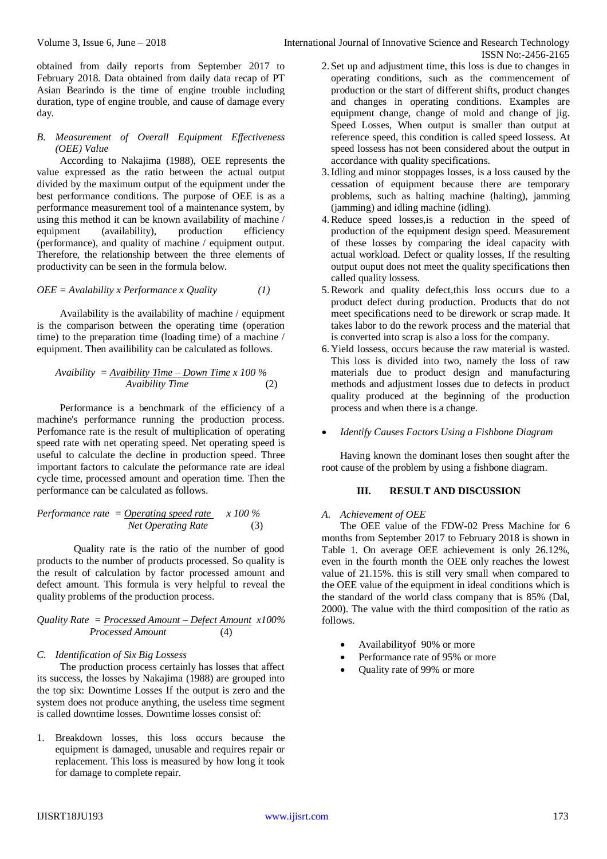obtained from daily reports from September 2017 to February 2018. Data obtained from daily data recap of PT Asian Bearindo is the time of engine trouble including duration, type of engine trouble, and cause of damage every day.

#### *B. Measurement of Overall Equipment Effectiveness (OEE) Value*

According to Nakajima (1988), OEE represents the value expressed as the ratio between the actual output divided by the maximum output of the equipment under the best performance conditions. The purpose of OEE is as a performance measurement tool of a maintenance system, by using this method it can be known availability of machine / equipment (availability), production efficiency (performance), and quality of machine / equipment output. Therefore, the relationship between the three elements of productivity can be seen in the formula below.

$$
OEE = Availableility \times Performance \times Quality \qquad (1)
$$

Availability is the availability of machine / equipment is the comparison between the operating time (operation time) to the preparation time (loading time) of a machine / equipment. Then availibility can be calculated as follows.

$$
Avability = \frac{Avability Time - Down Time x 100 %}{Avability Time}
$$
 (2)

Performance is a benchmark of the efficiency of a machine's performance running the production process. Perfomance rate is the result of multiplication of operating speed rate with net operating speed. Net operating speed is useful to calculate the decline in production speed. Three important factors to calculate the peformance rate are ideal cycle time, processed amount and operation time. Then the performance can be calculated as follows.

*Performance rate = Operating speed rate x 100 % Net Operating Rate* (3)

Quality rate is the ratio of the number of good products to the number of products processed. So quality is the result of calculation by factor processed amount and defect amount. This formula is very helpful to reveal the quality problems of the production process.

*Quality Rate = Processed Amount – Defect Amount x100% Processed Amount* (4)

# *C. Identification of Six Big Lossess*

The production process certainly has losses that affect its success, the losses by Nakajima (1988) are grouped into the top six: Downtime Losses If the output is zero and the system does not produce anything, the useless time segment is called downtime losses. Downtime losses consist of:

1. Breakdown losses, this loss occurs because the equipment is damaged, unusable and requires repair or replacement. This loss is measured by how long it took for damage to complete repair.

- 2. Set up and adjustment time, this loss is due to changes in operating conditions, such as the commencement of production or the start of different shifts, product changes and changes in operating conditions. Examples are equipment change, change of mold and change of jig. Speed Losses, When output is smaller than output at reference speed, this condition is called speed lossess. At speed lossess has not been considered about the output in accordance with quality specifications.
- 3.Idling and minor stoppages losses, is a loss caused by the cessation of equipment because there are temporary problems, such as halting machine (halting), jamming (jamming) and idling machine (idling).
- 4.Reduce speed losses,is a reduction in the speed of production of the equipment design speed. Measurement of these losses by comparing the ideal capacity with actual workload. Defect or quality losses, If the resulting output ouput does not meet the quality specifications then called quality lossess.
- 5.Rework and quality defect,this loss occurs due to a product defect during production. Products that do not meet specifications need to be dirework or scrap made. It takes labor to do the rework process and the material that is converted into scrap is also a loss for the company.
- 6. Yield lossess, occurs because the raw material is wasted. This loss is divided into two, namely the loss of raw materials due to product design and manufacturing methods and adjustment losses due to defects in product quality produced at the beginning of the production process and when there is a change.
- *Identify Causes Factors Using a Fishbone Diagram*

Having known the dominant loses then sought after the root cause of the problem by using a fishbone diagram.

# **III. RESULT AND DISCUSSION**

# *A. Achievement of OEE*

The OEE value of the FDW-02 Press Machine for 6 months from September 2017 to February 2018 is shown in Table 1. On average OEE achievement is only 26.12%, even in the fourth month the OEE only reaches the lowest value of 21.15%. this is still very small when compared to the OEE value of the equipment in ideal conditions which is the standard of the world class company that is 85% (Dal, 2000). The value with the third composition of the ratio as follows.

- Availabilityof 90% or more
- Performance rate of 95% or more
- Quality rate of 99% or more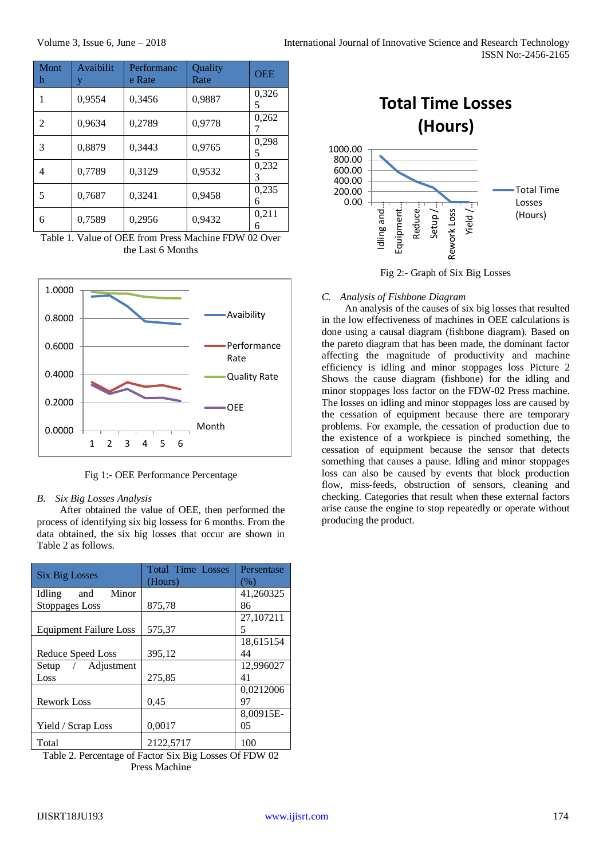| Mont<br>h | Avaibilit<br>V | Performanc<br>e Rate | Quality<br>Rate | <b>OEE</b> |
|-----------|----------------|----------------------|-----------------|------------|
| 1         | 0,9554         | 0,3456               | 0,9887          | 0,326<br>5 |
| 2         | 0,9634         | 0,2789               | 0,9778          | 0,262      |
| 3         | 0,8879         | 0,3443               | 0,9765          | 0,298<br>5 |
| 4         | 0,7789         | 0,3129               | 0,9532          | 0,232<br>3 |
| 5         | 0,7687         | 0,3241               | 0,9458          | 0,235<br>6 |
| 6         | 0,7589         | 0,2956               | 0,9432          | 0,211<br>6 |

Table 1. Value of OEE from Press Machine FDW 02 Over the Last 6 Months



Fig 1:- OEE Performance Percentage

#### *B. Six Big Losses Analysis*

After obtained the value of OEE, then performed the process of identifying six big lossess for 6 months. From the data obtained, the six big losses that occur are shown in Table 2 as follows.

| <b>Six Big Losses</b>         | <b>Total Time Losses</b><br>(Hours) | Persentase<br>$(\%)$ |
|-------------------------------|-------------------------------------|----------------------|
| Minor<br>Idling<br>and        |                                     | 41,260325            |
| <b>Stoppages Loss</b>         | 875,78                              | 86                   |
|                               |                                     | 27,107211            |
| <b>Equipment Failure Loss</b> | 575,37                              | 5                    |
|                               |                                     | 18,615154            |
| Reduce Speed Loss             | 395,12                              | 44                   |
| Setup / Adjustment            |                                     | 12,996027            |
| Loss                          | 275,85                              | 41                   |
|                               |                                     | 0,0212006            |
| <b>Rework Loss</b>            | 0,45                                | 97                   |
|                               |                                     | 8,00915E-            |
| Yield / Scrap Loss            | 0,0017                              | 05                   |
| Total                         | 2122,5717                           | 100                  |

Table 2. Percentage of Factor Six Big Losses Of FDW 02 Press Machine



Fig 2:- Graph of Six Big Losses

#### *C. Analysis of Fishbone Diagram*

An analysis of the causes of six big losses that resulted in the low effectiveness of machines in OEE calculations is done using a causal diagram (fishbone diagram). Based on the pareto diagram that has been made, the dominant factor affecting the magnitude of productivity and machine efficiency is idling and minor stoppages loss Picture 2 Shows the cause diagram (fishbone) for the idling and minor stoppages loss factor on the FDW-02 Press machine. The losses on idling and minor stoppages loss are caused by the cessation of equipment because there are temporary problems. For example, the cessation of production due to the existence of a workpiece is pinched something, the cessation of equipment because the sensor that detects something that causes a pause. Idling and minor stoppages loss can also be caused by events that block production flow, miss-feeds, obstruction of sensors, cleaning and checking. Categories that result when these external factors arise cause the engine to stop repeatedly or operate without producing the product.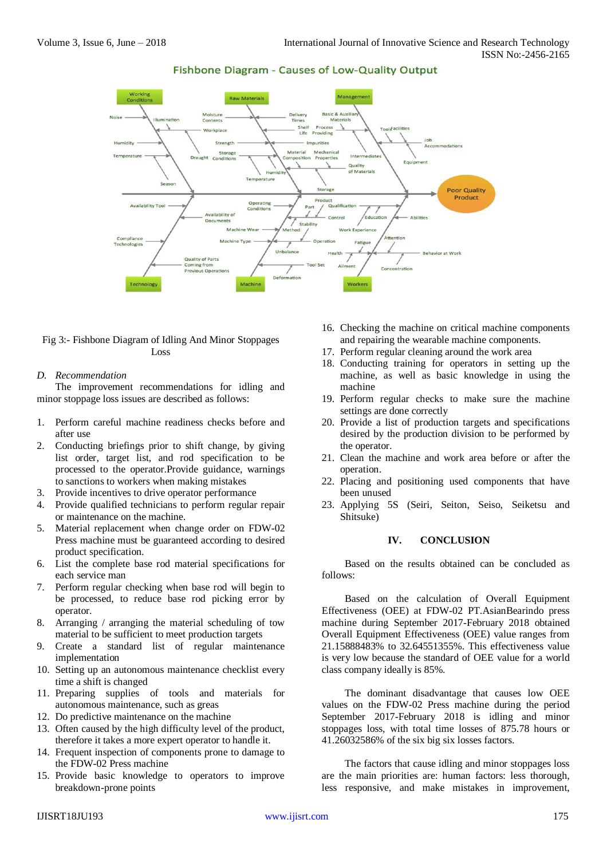

#### Fishbone Diagram - Causes of Low-Quality Output

Fig 3:- Fishbone Diagram of Idling And Minor Stoppages Loss

#### *D. Recommendation*

The improvement recommendations for idling and minor stoppage loss issues are described as follows:

- 1. Perform careful machine readiness checks before and after use
- 2. Conducting briefings prior to shift change, by giving list order, target list, and rod specification to be processed to the operator.Provide guidance, warnings to sanctions to workers when making mistakes
- 3. Provide incentives to drive operator performance
- 4. Provide qualified technicians to perform regular repair or maintenance on the machine.
- 5. Material replacement when change order on FDW-02 Press machine must be guaranteed according to desired product specification.
- 6. List the complete base rod material specifications for each service man
- 7. Perform regular checking when base rod will begin to be processed, to reduce base rod picking error by operator.
- 8. Arranging / arranging the material scheduling of tow material to be sufficient to meet production targets
- 9. Create a standard list of regular maintenance implementation
- 10. Setting up an autonomous maintenance checklist every time a shift is changed
- 11. Preparing supplies of tools and materials for autonomous maintenance, such as greas
- 12. Do predictive maintenance on the machine
- 13. Often caused by the high difficulty level of the product, therefore it takes a more expert operator to handle it.
- 14. Frequent inspection of components prone to damage to the FDW-02 Press machine
- 15. Provide basic knowledge to operators to improve breakdown-prone points
- 16. Checking the machine on critical machine components and repairing the wearable machine components.
- 17. Perform regular cleaning around the work area
- 18. Conducting training for operators in setting up the machine, as well as basic knowledge in using the machine
- 19. Perform regular checks to make sure the machine settings are done correctly
- 20. Provide a list of production targets and specifications desired by the production division to be performed by the operator.
- 21. Clean the machine and work area before or after the operation.
- 22. Placing and positioning used components that have been unused
- 23. Applying 5S (Seiri, Seiton, Seiso, Seiketsu and Shitsuke)

#### **IV. CONCLUSION**

Based on the results obtained can be concluded as follows:

Based on the calculation of Overall Equipment Effectiveness (OEE) at FDW-02 PT.AsianBearindo press machine during September 2017-February 2018 obtained Overall Equipment Effectiveness (OEE) value ranges from 21.15888483% to 32.64551355%. This effectiveness value is very low because the standard of OEE value for a world class company ideally is 85%.

The dominant disadvantage that causes low OEE values on the FDW-02 Press machine during the period September 2017-February 2018 is idling and minor stoppages loss, with total time losses of 875.78 hours or 41.26032586% of the six big six losses factors.

The factors that cause idling and minor stoppages loss are the main priorities are: human factors: less thorough, less responsive, and make mistakes in improvement,